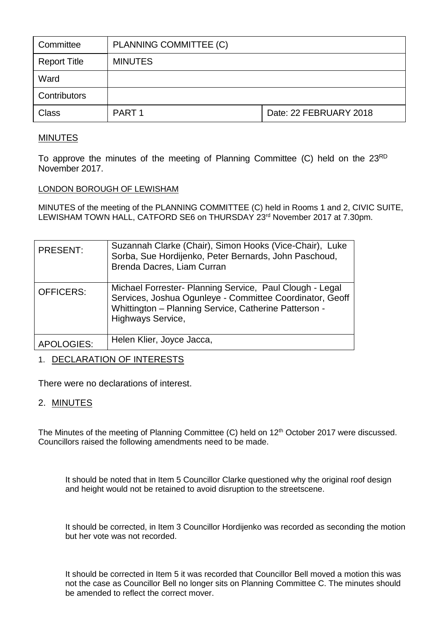| Committee           | PLANNING COMMITTEE (C) |                        |
|---------------------|------------------------|------------------------|
| <b>Report Title</b> | <b>MINUTES</b>         |                        |
| Ward                |                        |                        |
| Contributors        |                        |                        |
| <b>Class</b>        | PART <sub>1</sub>      | Date: 22 FEBRUARY 2018 |

# MINUTES

To approve the minutes of the meeting of Planning Committee (C) held on the 23<sup>RD</sup> November 2017.

### LONDON BOROUGH OF LEWISHAM

MINUTES of the meeting of the PLANNING COMMITTEE (C) held in Rooms 1 and 2, CIVIC SUITE, LEWISHAM TOWN HALL, CATFORD SE6 on THURSDAY 23rd November 2017 at 7.30pm.

| <b>PRESENT:</b>   | Suzannah Clarke (Chair), Simon Hooks (Vice-Chair), Luke<br>Sorba, Sue Hordijenko, Peter Bernards, John Paschoud,<br>Brenda Dacres, Liam Curran                                                     |
|-------------------|----------------------------------------------------------------------------------------------------------------------------------------------------------------------------------------------------|
| <b>OFFICERS:</b>  | Michael Forrester- Planning Service, Paul Clough - Legal<br>Services, Joshua Ogunleye - Committee Coordinator, Geoff<br>Whittington - Planning Service, Catherine Patterson -<br>Highways Service. |
| <b>APOLOGIES:</b> | Helen Klier, Joyce Jacca,                                                                                                                                                                          |

## 1. DECLARATION OF INTERESTS

There were no declarations of interest.

## 2. MINUTES

The Minutes of the meeting of Planning Committee (C) held on 12<sup>th</sup> October 2017 were discussed. Councillors raised the following amendments need to be made.

It should be noted that in Item 5 Councillor Clarke questioned why the original roof design and height would not be retained to avoid disruption to the streetscene.

It should be corrected, in Item 3 Councillor Hordijenko was recorded as seconding the motion but her vote was not recorded.

It should be corrected in Item 5 it was recorded that Councillor Bell moved a motion this was not the case as Councillor Bell no longer sits on Planning Committee C. The minutes should be amended to reflect the correct mover.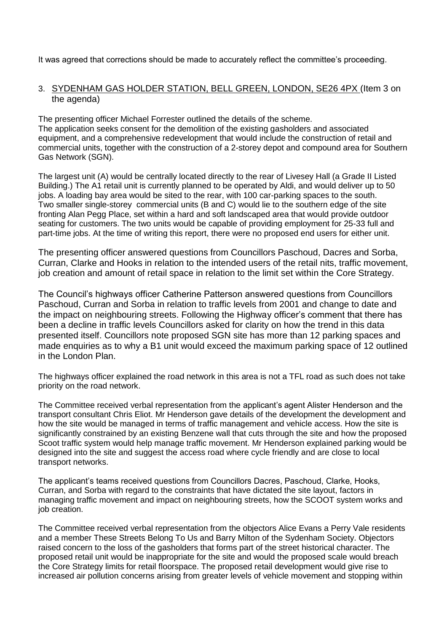It was agreed that corrections should be made to accurately reflect the committee's proceeding.

### 3. SYDENHAM GAS HOLDER STATION, BELL GREEN, LONDON, SE26 4PX (Item 3 on the agenda)

The presenting officer Michael Forrester outlined the details of the scheme. The application seeks consent for the demolition of the existing gasholders and associated equipment, and a comprehensive redevelopment that would include the construction of retail and commercial units, together with the construction of a 2-storey depot and compound area for Southern Gas Network (SGN).

The largest unit (A) would be centrally located directly to the rear of Livesey Hall (a Grade II Listed Building.) The A1 retail unit is currently planned to be operated by Aldi, and would deliver up to 50 jobs. A loading bay area would be sited to the rear, with 100 car-parking spaces to the south. Two smaller single-storey commercial units (B and C) would lie to the southern edge of the site fronting Alan Pegg Place, set within a hard and soft landscaped area that would provide outdoor seating for customers. The two units would be capable of providing employment for 25-33 full and part-time jobs. At the time of writing this report, there were no proposed end users for either unit.

The presenting officer answered questions from Councillors Paschoud, Dacres and Sorba, Curran, Clarke and Hooks in relation to the intended users of the retail nits, traffic movement, job creation and amount of retail space in relation to the limit set within the Core Strategy.

The Council's highways officer Catherine Patterson answered questions from Councillors Paschoud, Curran and Sorba in relation to traffic levels from 2001 and change to date and the impact on neighbouring streets. Following the Highway officer's comment that there has been a decline in traffic levels Councillors asked for clarity on how the trend in this data presented itself. Councillors note proposed SGN site has more than 12 parking spaces and made enquiries as to why a B1 unit would exceed the maximum parking space of 12 outlined in the London Plan.

The highways officer explained the road network in this area is not a TFL road as such does not take priority on the road network.

The Committee received verbal representation from the applicant's agent Alister Henderson and the transport consultant Chris Eliot. Mr Henderson gave details of the development the development and how the site would be managed in terms of traffic management and vehicle access. How the site is significantly constrained by an existing Benzene wall that cuts through the site and how the proposed Scoot traffic system would help manage traffic movement. Mr Henderson explained parking would be designed into the site and suggest the access road where cycle friendly and are close to local transport networks.

The applicant's teams received questions from Councillors Dacres, Paschoud, Clarke, Hooks, Curran, and Sorba with regard to the constraints that have dictated the site layout, factors in managing traffic movement and impact on neighbouring streets, how the SCOOT system works and job creation.

The Committee received verbal representation from the objectors Alice Evans a Perry Vale residents and a member These Streets Belong To Us and Barry Milton of the Sydenham Society. Objectors raised concern to the loss of the gasholders that forms part of the street historical character. The proposed retail unit would be inappropriate for the site and would the proposed scale would breach the Core Strategy limits for retail floorspace. The proposed retail development would give rise to increased air pollution concerns arising from greater levels of vehicle movement and stopping within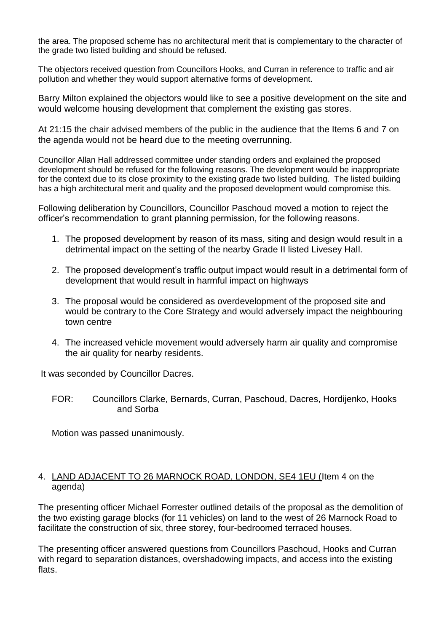the area. The proposed scheme has no architectural merit that is complementary to the character of the grade two listed building and should be refused.

The objectors received question from Councillors Hooks, and Curran in reference to traffic and air pollution and whether they would support alternative forms of development.

Barry Milton explained the objectors would like to see a positive development on the site and would welcome housing development that complement the existing gas stores.

At 21:15 the chair advised members of the public in the audience that the Items 6 and 7 on the agenda would not be heard due to the meeting overrunning.

Councillor Allan Hall addressed committee under standing orders and explained the proposed development should be refused for the following reasons. The development would be inappropriate for the context due to its close proximity to the existing grade two listed building. The listed building has a high architectural merit and quality and the proposed development would compromise this.

Following deliberation by Councillors, Councillor Paschoud moved a motion to reject the officer's recommendation to grant planning permission, for the following reasons.

- 1. The proposed development by reason of its mass, siting and design would result in a detrimental impact on the setting of the nearby Grade II listed Livesey Hall.
- 2. The proposed development's traffic output impact would result in a detrimental form of development that would result in harmful impact on highways
- 3. The proposal would be considered as overdevelopment of the proposed site and would be contrary to the Core Strategy and would adversely impact the neighbouring town centre
- 4. The increased vehicle movement would adversely harm air quality and compromise the air quality for nearby residents.

It was seconded by Councillor Dacres.

FOR: Councillors Clarke, Bernards, Curran, Paschoud, Dacres, Hordijenko, Hooks and Sorba

Motion was passed unanimously.

### 4. LAND ADJACENT TO 26 MARNOCK ROAD, LONDON, SE4 1EU (Item 4 on the agenda)

The presenting officer Michael Forrester outlined details of the proposal as the demolition of the two existing garage blocks (for 11 vehicles) on land to the west of 26 Marnock Road to facilitate the construction of six, three storey, four-bedroomed terraced houses.

The presenting officer answered questions from Councillors Paschoud, Hooks and Curran with regard to separation distances, overshadowing impacts, and access into the existing flats.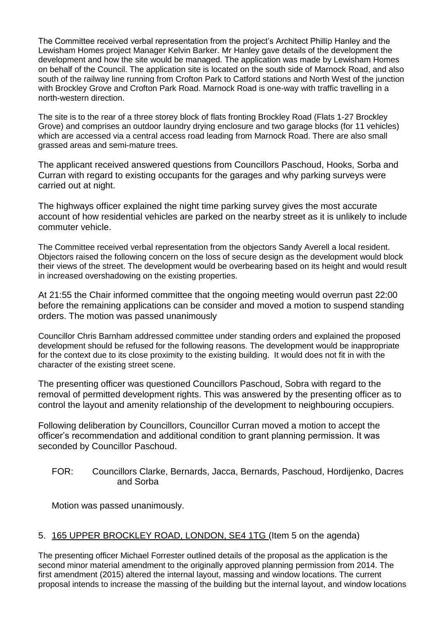The Committee received verbal representation from the project's Architect Phillip Hanley and the Lewisham Homes project Manager Kelvin Barker. Mr Hanley gave details of the development the development and how the site would be managed. The application was made by Lewisham Homes on behalf of the Council. The application site is located on the south side of Marnock Road, and also south of the railway line running from Crofton Park to Catford stations and North West of the junction with Brockley Grove and Crofton Park Road. Marnock Road is one-way with traffic travelling in a north-western direction.

The site is to the rear of a three storey block of flats fronting Brockley Road (Flats 1-27 Brockley Grove) and comprises an outdoor laundry drying enclosure and two garage blocks (for 11 vehicles) which are accessed via a central access road leading from Marnock Road. There are also small grassed areas and semi-mature trees.

The applicant received answered questions from Councillors Paschoud, Hooks, Sorba and Curran with regard to existing occupants for the garages and why parking surveys were carried out at night.

The highways officer explained the night time parking survey gives the most accurate account of how residential vehicles are parked on the nearby street as it is unlikely to include commuter vehicle.

The Committee received verbal representation from the objectors Sandy Averell a local resident. Objectors raised the following concern on the loss of secure design as the development would block their views of the street. The development would be overbearing based on its height and would result in increased overshadowing on the existing properties.

At 21:55 the Chair informed committee that the ongoing meeting would overrun past 22:00 before the remaining applications can be consider and moved a motion to suspend standing orders. The motion was passed unanimously

Councillor Chris Barnham addressed committee under standing orders and explained the proposed development should be refused for the following reasons. The development would be inappropriate for the context due to its close proximity to the existing building. It would does not fit in with the character of the existing street scene.

The presenting officer was questioned Councillors Paschoud, Sobra with regard to the removal of permitted development rights. This was answered by the presenting officer as to control the layout and amenity relationship of the development to neighbouring occupiers.

Following deliberation by Councillors, Councillor Curran moved a motion to accept the officer's recommendation and additional condition to grant planning permission. It was seconded by Councillor Paschoud.

FOR: Councillors Clarke, Bernards, Jacca, Bernards, Paschoud, Hordijenko, Dacres and Sorba

Motion was passed unanimously.

## 5. 165 UPPER BROCKLEY ROAD, LONDON, SE4 1TG (Item 5 on the agenda)

The presenting officer Michael Forrester outlined details of the proposal as the application is the second minor material amendment to the originally approved planning permission from 2014. The first amendment (2015) altered the internal layout, massing and window locations. The current proposal intends to increase the massing of the building but the internal layout, and window locations